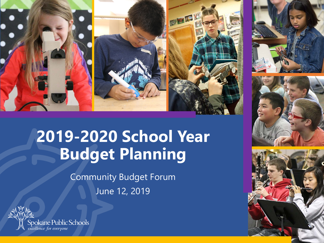

# **2019-2020 School Year Budget Planning**

Community Budget Forum June 12, 2019







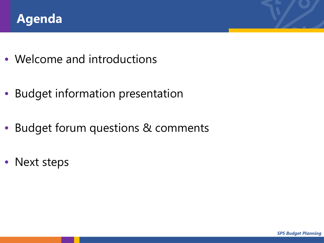

- Welcome and introductions
- Budget information presentation
- Budget forum questions & comments
- Next steps

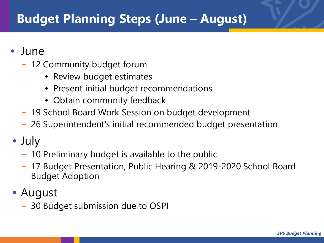# **Budget Planning Steps (June – August)**

- June
	- − 12 Community budget forum
		- Review budget estimates
		- Present initial budget recommendations
		- Obtain community feedback
	- − 19 School Board Work Session on budget development
	- − 26 Superintendent's initial recommended budget presentation
- July
	- − 10 Preliminary budget is available to the public
	- − 17 Budget Presentation, Public Hearing & 2019-2020 School Board Budget Adoption
- August
	- − 30 Budget submission due to OSPI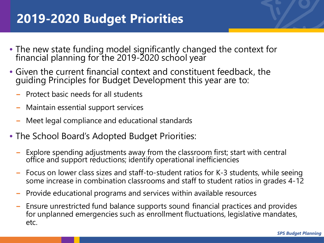# **2019-2020 Budget Priorities**

- The new state funding model significantly changed the context for financial planning for the 2019-2020 school year
- Given the current financial context and constituent feedback, the guiding Principles for Budget Development this year are to:
	- − Protect basic needs for all students
	- − Maintain essential support services
	- − Meet legal compliance and educational standards
- The School Board's Adopted Budget Priorities:
	- − Explore spending adjustments away from the classroom first; start with central office and support reductions; identify operational inefficiencies
	- Focus on lower class sizes and staff-to-student ratios for K-3 students, while seeing some increase in combination classrooms and staff to student ratios in grades 4-12
	- − Provide educational programs and services within available resources
	- − Ensure unrestricted fund balance supports sound financial practices and provides for unplanned emergencies such as enrollment fluctuations, legislative mandates, etc.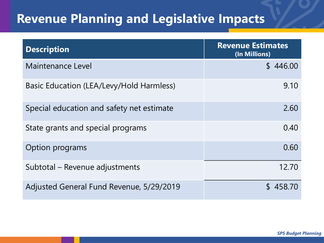# **Revenue Planning and Legislative Impacts**

| <b>Description</b>                        | <b>Revenue Estimates</b><br>(In Millions) |  |  |  |
|-------------------------------------------|-------------------------------------------|--|--|--|
| Maintenance Level                         | \$446.00                                  |  |  |  |
| Basic Education (LEA/Levy/Hold Harmless)  | 9.10                                      |  |  |  |
| Special education and safety net estimate | 2.60                                      |  |  |  |
| State grants and special programs         | 0.40                                      |  |  |  |
| Option programs                           | 0.60                                      |  |  |  |
| Subtotal – Revenue adjustments            | 12.70                                     |  |  |  |
| Adjusted General Fund Revenue, 5/29/2019  | \$458.70                                  |  |  |  |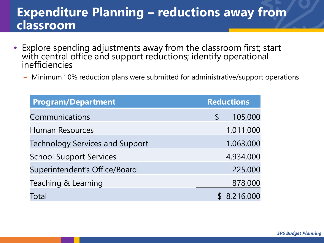### **Expenditure Planning – reductions away from classroom**

- Explore spending adjustments away from the classroom first; start with central office and support reductions; identify operational inefficiencies
	- Minimum 10% reduction plans were submitted for administrative/support operations

| <b>Program/Department</b>              | <b>Reductions</b> |           |
|----------------------------------------|-------------------|-----------|
| Communications                         | $\mathsf S$       | 105,000   |
| <b>Human Resources</b>                 |                   | 1,011,000 |
| <b>Technology Services and Support</b> |                   | 1,063,000 |
| <b>School Support Services</b>         |                   | 4,934,000 |
| Superintendent's Office/Board          |                   | 225,000   |
| Teaching & Learning                    |                   | 878,000   |
| Total                                  |                   | 8,216,000 |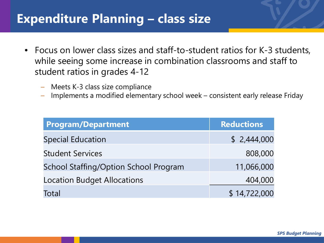### **Expenditure Planning – class size**

- Focus on lower class sizes and staff-to-student ratios for K-3 students, while seeing some increase in combination classrooms and staff to student ratios in grades 4-12
	- Meets K-3 class size compliance
	- Implements a modified elementary school week consistent early release Friday

| <b>Program/Department</b>                    | <b>Reductions</b> |
|----------------------------------------------|-------------------|
| <b>Special Education</b>                     | \$2,444,000       |
| <b>Student Services</b>                      | 808,000           |
| <b>School Staffing/Option School Program</b> | 11,066,000        |
| <b>Location Budget Allocations</b>           | 404,000           |
| Total                                        | \$14,722,000      |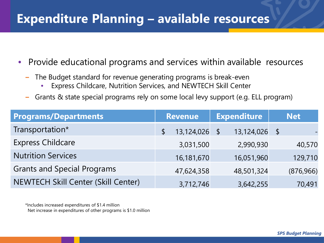### **Expenditure Planning – available resources**

- Provide educational programs and services within available resources
	- The Budget standard for revenue generating programs is break-even
		- Express Childcare, Nutrition Services, and NEWTECH Skill Center
	- − Grants & state special programs rely on some local levy support (e.g. ELL program)

| <b>Programs/Departments</b>                | <b>Revenue</b> | <b>Expenditure</b>          | <b>Net</b>    |
|--------------------------------------------|----------------|-----------------------------|---------------|
| Transportation*                            | 13,124,026     | 13,124,026<br>$\mathcal{S}$ | $\mathcal{L}$ |
| <b>Express Childcare</b>                   | 3,031,500      | 2,990,930                   | 40,570        |
| <b>Nutrition Services</b>                  | 16,181,670     | 16,051,960                  | 129,710       |
| <b>Grants and Special Programs</b>         | 47,624,358     | 48,501,324                  | (876, 966)    |
| <b>NEWTECH Skill Center (Skill Center)</b> | 3,712,746      | 3,642,255                   | 70,491        |

\*Includes increased expenditures of \$1.4 million Net increase in expenditures of other programs is \$1.0 million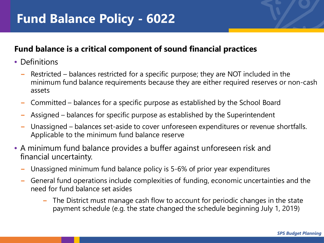### **Fund balance is a critical component of sound financial practices**

- Definitions
	- Restricted balances restricted for a specific purpose; they are NOT included in the minimum fund balance requirements because they are either required reserves or non-cash assets
	- − Committed balances for a specific purpose as established by the School Board
	- Assigned balances for specific purpose as established by the Superintendent
	- Unassigned balances set-aside to cover unforeseen expenditures or revenue shortfalls. Applicable to the minimum fund balance reserve
- A minimum fund balance provides a buffer against unforeseen risk and financial uncertainty.
	- Unassigned minimum fund balance policy is 5-6% of prior year expenditures
	- − General fund operations include complexities of funding, economic uncertainties and the need for fund balance set asides
		- The District must manage cash flow to account for periodic changes in the state payment schedule (e.g. the state changed the schedule beginning July 1, 2019)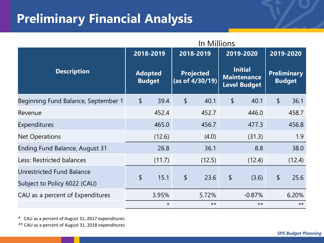# **Preliminary Financial Analysis**

|                                                           | In Millions                                  |         |                                     |        |                                                             |          |                                     |        |
|-----------------------------------------------------------|----------------------------------------------|---------|-------------------------------------|--------|-------------------------------------------------------------|----------|-------------------------------------|--------|
|                                                           | 2018-2019<br><b>Adopted</b><br><b>Budget</b> |         | 2018-2019                           |        | 2019-2020                                                   |          | 2019-2020                           |        |
| <b>Description</b>                                        |                                              |         | <b>Projected</b><br>(as of 4/30/19) |        | <b>Initial</b><br><b>Maintenance</b><br><b>Level Budget</b> |          | <b>Preliminary</b><br><b>Budget</b> |        |
| Beginning Fund Balance, September 1                       | $\frac{1}{2}$                                | 39.4    | $\boldsymbol{\mathsf{S}}$           | 40.1   | $\boldsymbol{\mathsf{S}}$                                   | 40.1     | \$                                  | 36.1   |
| Revenue                                                   |                                              | 452.4   |                                     | 452.7  |                                                             | 446.0    |                                     | 458.7  |
| Expenditures                                              |                                              | 465.0   |                                     | 456.7  |                                                             | 477.3    |                                     | 456.8  |
| <b>Net Operations</b>                                     |                                              | (12.6)  |                                     | (4.0)  |                                                             | (31.3)   |                                     | 1.9    |
| Ending Fund Balance, August 31                            |                                              | 26.8    |                                     | 36.1   |                                                             | 8.8      |                                     | 38.0   |
| Less: Restricted balances                                 |                                              | (11.7)  |                                     | (12.5) |                                                             | (12.4)   |                                     | (12.4) |
| Unrestricted Fund Balance<br>Subject to Policy 6022 (CAU) | $\boldsymbol{\mathsf{S}}$                    | 15.1    | \$                                  | 23.6   | \$                                                          | (3.6)    | $\boldsymbol{\mathsf{S}}$           | 25.6   |
| CAU as a percent of Expenditures                          |                                              | 3.95%   |                                     | 5.72%  |                                                             | $-0.87%$ |                                     | 6.20%  |
|                                                           |                                              | $\star$ |                                     | $**$   |                                                             | $**$     |                                     | $**$   |

\* CAU as a percent of August 31, 2017 expenditures

\*\* CAU as a percent of August 31, 2018 expenditures